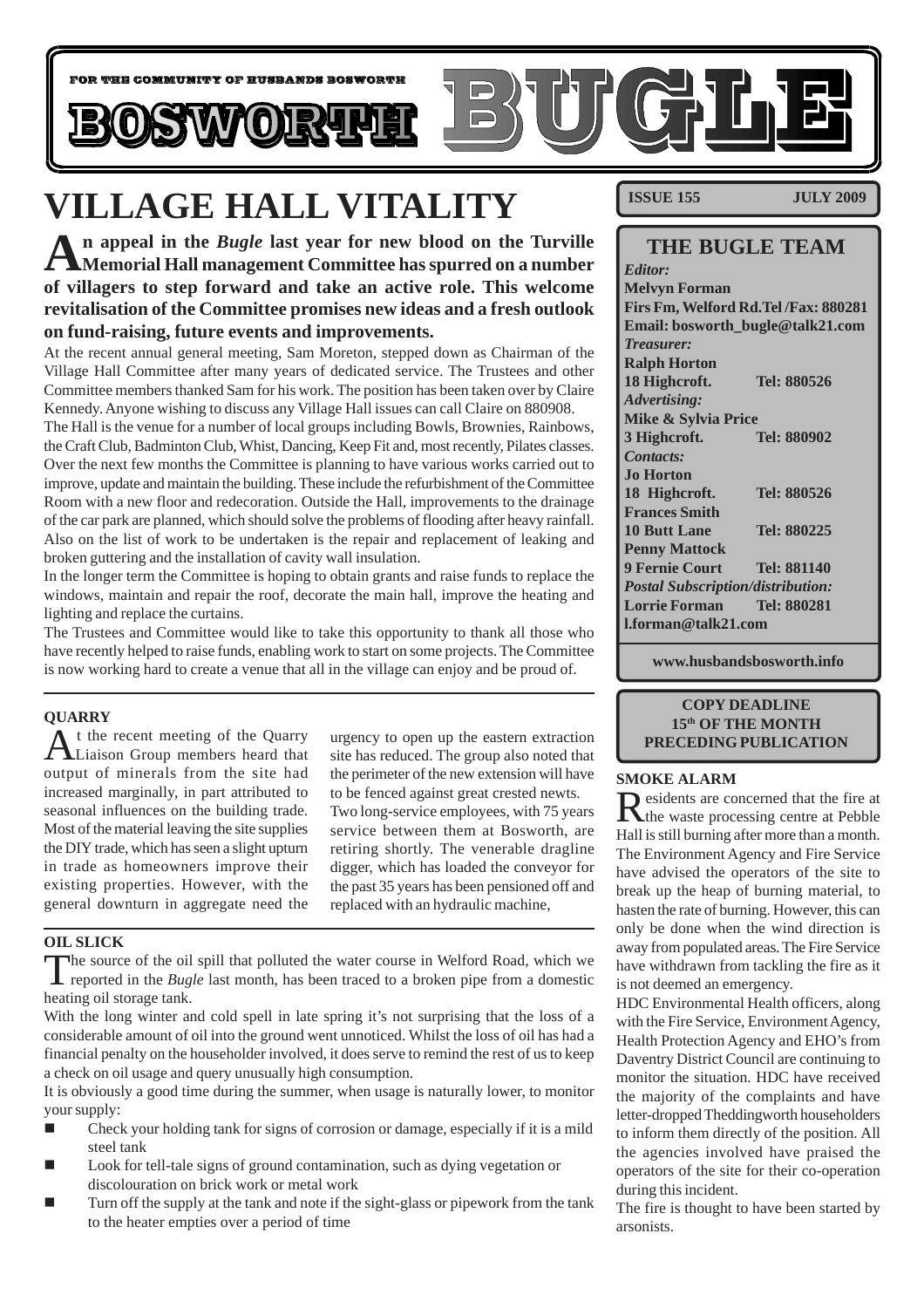

# **VILLAGE HALL VITALITY**

**An appeal in the** *Bugle* **last year for new blood on the Turville Memorial Hall management Committee has spurred on a number of villagers to step forward and take an active role. This welcome revitalisation of the Committee promises new ideas and a fresh outlook on fund-raising, future events and improvements.**

At the recent annual general meeting, Sam Moreton, stepped down as Chairman of the Village Hall Committee after many years of dedicated service. The Trustees and other Committee members thanked Sam for his work. The position has been taken over by Claire Kennedy. Anyone wishing to discuss any Village Hall issues can call Claire on 880908.

The Hall is the venue for a number of local groups including Bowls, Brownies, Rainbows, the Craft Club, Badminton Club, Whist, Dancing, Keep Fit and, most recently, Pilates classes. Over the next few months the Committee is planning to have various works carried out to improve, update and maintain the building. These include the refurbishment of the Committee Room with a new floor and redecoration. Outside the Hall, improvements to the drainage of the car park are planned, which should solve the problems of flooding after heavy rainfall. Also on the list of work to be undertaken is the repair and replacement of leaking and broken guttering and the installation of cavity wall insulation.

In the longer term the Committee is hoping to obtain grants and raise funds to replace the windows, maintain and repair the roof, decorate the main hall, improve the heating and lighting and replace the curtains.

The Trustees and Committee would like to take this opportunity to thank all those who have recently helped to raise funds, enabling work to start on some projects. The Committee is now working hard to create a venue that all in the village can enjoy and be proud of.

#### **QUARRY**

At the recent meeting of the Quarry<br>
Liaison Group members heard that output of minerals from the site had increased marginally, in part attributed to seasonal influences on the building trade. Most of the material leaving the site supplies the DIY trade, which has seen a slight upturn in trade as homeowners improve their existing properties. However, with the general downturn in aggregate need the

urgency to open up the eastern extraction site has reduced. The group also noted that the perimeter of the new extension will have to be fenced against great crested newts. Two long-service employees, with 75 years service between them at Bosworth, are retiring shortly. The venerable dragline digger, which has loaded the conveyor for the past 35 years has been pensioned off and replaced with an hydraulic machine,

#### **OIL SLICK**

The source of the oil spill that polluted the water course in Welford Road, which we reported in the *Bugle* last month, has been traced to a broken pipe from a domestic heating oil storage tank.

With the long winter and cold spell in late spring it's not surprising that the loss of a considerable amount of oil into the ground went unnoticed. Whilst the loss of oil has had a financial penalty on the householder involved, it does serve to remind the rest of us to keep a check on oil usage and query unusually high consumption.

It is obviously a good time during the summer, when usage is naturally lower, to monitor your supply:

- $\blacksquare$  Check your holding tank for signs of corrosion or damage, especially if it is a mild steel tank
- ! Look for tell-tale signs of ground contamination, such as dying vegetation or discolouration on brick work or metal work
- ! Turn off the supply at the tank and note if the sight-glass or pipework from the tank to the heater empties over a period of time

**ISSUE 155 JULY 2009**

| <b>THE BUGLE TEAM</b>                    |             |
|------------------------------------------|-------------|
| Editor:                                  |             |
| <b>Melvyn Forman</b>                     |             |
| Firs Fm, Welford Rd.Tel /Fax: 880281     |             |
| Email: bosworth_bugle@talk21.com         |             |
| <b>Treasurer:</b>                        |             |
| <b>Ralph Horton</b>                      |             |
| 18 Highcroft.                            | Tel: 880526 |
| Advertising:                             |             |
| <b>Mike &amp; Sylvia Price</b>           |             |
| 3 Highcroft.                             | Tel: 880902 |
| <b>Contacts:</b>                         |             |
| <b>Jo Horton</b>                         |             |
| 18 Highcroft.                            | Tel: 880526 |
| <b>Frances Smith</b>                     |             |
| <b>10 Butt Lane</b>                      | Tel: 880225 |
| <b>Penny Mattock</b>                     |             |
| <b>9 Fernie Court</b>                    | Tel: 881140 |
| <b>Postal Subscription/distribution:</b> |             |
| <b>Lorrie Forman</b> Tel: 880281         |             |
| l.forman@talk21.com                      |             |
|                                          |             |

**www.husbandsbosworth.info**

#### **COPY DEADLINE 15th OF THE MONTH PRECEDING PUBLICATION**

#### **SMOKE ALARM**

Residents are concerned that the fire at the waste processing centre at Pebble Hall is still burning after more than a month. The Environment Agency and Fire Service have advised the operators of the site to break up the heap of burning material, to hasten the rate of burning. However, this can only be done when the wind direction is away from populated areas. The Fire Service have withdrawn from tackling the fire as it is not deemed an emergency.

HDC Environmental Health officers, along with the Fire Service, Environment Agency, Health Protection Agency and EHO's from Daventry District Council are continuing to monitor the situation. HDC have received the majority of the complaints and have letter-dropped Theddingworth householders to inform them directly of the position. All the agencies involved have praised the operators of the site for their co-operation during this incident.

The fire is thought to have been started by arsonists.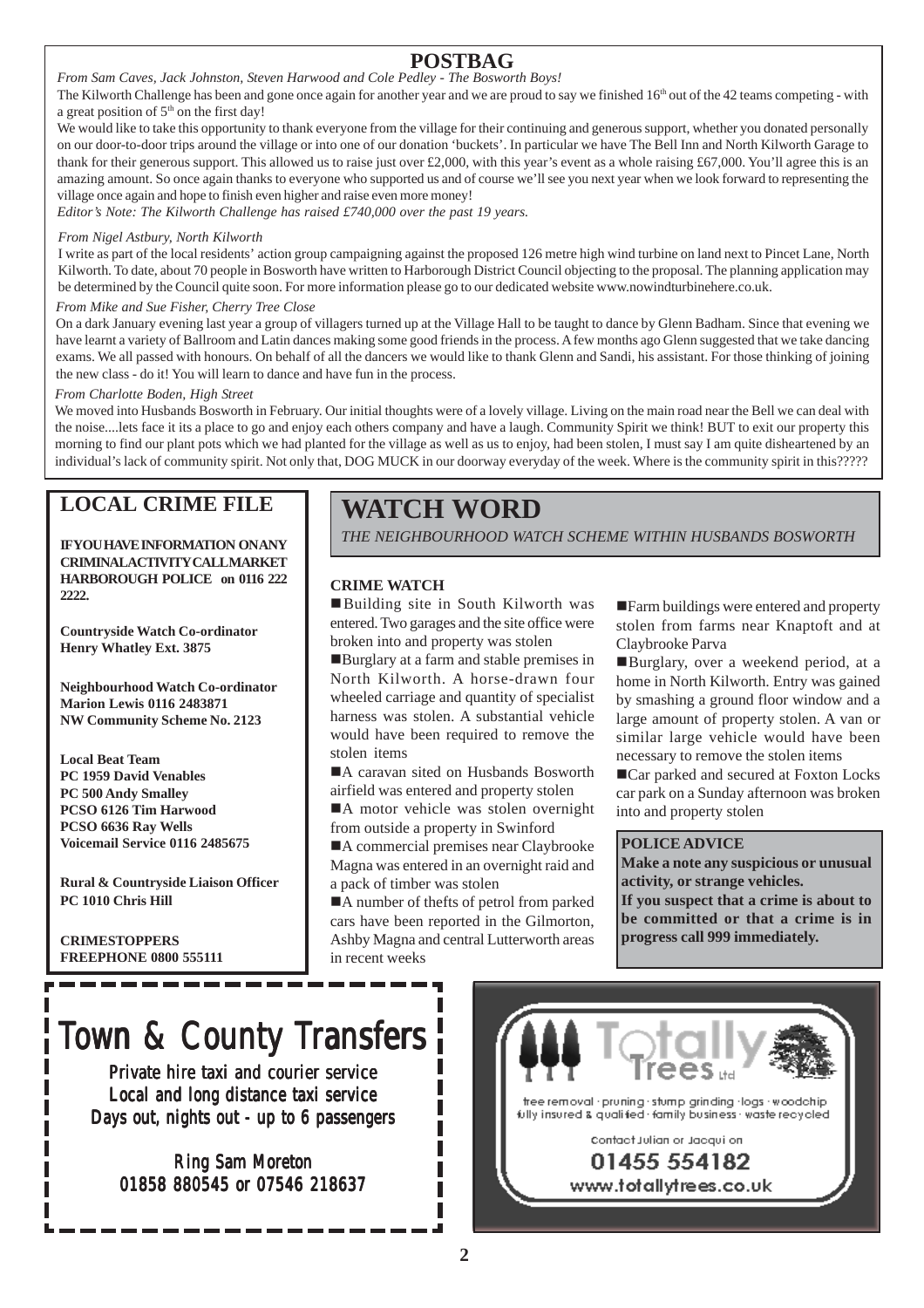### **POSTBAG**

*From Sam Caves, Jack Johnston, Steven Harwood and Cole Pedley - The Bosworth Boys!*

The Kilworth Challenge has been and gone once again for another year and we are proud to say we finished  $16<sup>th</sup>$  out of the 42 teams competing - with a great position of  $5<sup>th</sup>$  on the first day!

We would like to take this opportunity to thank everyone from the village for their continuing and generous support, whether you donated personally on our door-to-door trips around the village or into one of our donation 'buckets'. In particular we have The Bell Inn and North Kilworth Garage to thank for their generous support. This allowed us to raise just over £2,000, with this year's event as a whole raising £67,000. You'll agree this is an amazing amount. So once again thanks to everyone who supported us and of course we'll see you next year when we look forward to representing the village once again and hope to finish even higher and raise even more money!

*Editor's Note: The Kilworth Challenge has raised £740,000 over the past 19 years.*

#### *From Nigel Astbury, North Kilworth*

I write as part of the local residents' action group campaigning against the proposed 126 metre high wind turbine on land next to Pincet Lane, North Kilworth. To date, about 70 people in Bosworth have written to Harborough District Council objecting to the proposal. The planning application may be determined by the Council quite soon. For more information please go to our dedicated website www.nowindturbinehere.co.uk.

#### *From Mike and Sue Fisher, Cherry Tree Close*

On a dark January evening last year a group of villagers turned up at the Village Hall to be taught to dance by Glenn Badham. Since that evening we have learnt a variety of Ballroom and Latin dances making some good friends in the process. A few months ago Glenn suggested that we take dancing exams. We all passed with honours. On behalf of all the dancers we would like to thank Glenn and Sandi, his assistant. For those thinking of joining the new class - do it! You will learn to dance and have fun in the process.

#### *From Charlotte Boden, High Street*

We moved into Husbands Bosworth in February. Our initial thoughts were of a lovely village. Living on the main road near the Bell we can deal with the noise....lets face it its a place to go and enjoy each others company and have a laugh. Community Spirit we think! BUT to exit our property this morning to find our plant pots which we had planted for the village as well as us to enjoy, had been stolen, I must say I am quite disheartened by an individual's lack of community spirit. Not only that, DOG MUCK in our doorway everyday of the week. Where is the community spirit in this?????

#### **LOCAL CRIME FILE**

**IF YOU HAVE INFORMATION ON ANY CRIMINAL ACTIVITY CALL MARKET HARBOROUGH POLICE on 0116 222 2222.**

**Countryside Watch Co-ordinator Henry Whatley Ext. 3875**

**Neighbourhood Watch Co-ordinator Marion Lewis 0116 2483871 NW Community Scheme No. 2123**

**Local Beat Team PC 1959 David Venables PC 500 Andy Smalley PCSO 6126 Tim Harwood PCSO 6636 Ray Wells Voicemail Service 0116 2485675**

**Rural & Countryside Liaison Officer PC 1010 Chris Hill**

**CRIMESTOPPERS FREEPHONE 0800 555111**

### **WATCH WORD**

*THE NEIGHBOURHOOD WATCH SCHEME WITHIN HUSBANDS BOSWORTH*

#### **CRIME WATCH**

■Building site in South Kilworth was entered. Two garages and the site office were broken into and property was stolen

!Burglary at a farm and stable premises in North Kilworth. A horse-drawn four wheeled carriage and quantity of specialist harness was stolen. A substantial vehicle would have been required to remove the stolen items

A caravan sited on Husbands Bosworth airfield was entered and property stolen

A motor vehicle was stolen overnight from outside a property in Swinford

A commercial premises near Claybrooke Magna was entered in an overnight raid and a pack of timber was stolen

!A number of thefts of petrol from parked cars have been reported in the Gilmorton, Ashby Magna and central Lutterworth areas in recent weeks

!Farm buildings were entered and property stolen from farms near Knaptoft and at Claybrooke Parva

!Burglary, over a weekend period, at a home in North Kilworth. Entry was gained by smashing a ground floor window and a large amount of property stolen. A van or similar large vehicle would have been necessary to remove the stolen items

■Car parked and secured at Foxton Locks car park on a Sunday afternoon was broken into and property stolen

#### **POLICE ADVICE**

**Make a note any suspicious or unusual activity, or strange vehicles.**

**If you suspect that a crime is about to be committed or that a crime is in progress call 999 immediately.**

# Town & County Transfers

Private hire taxi and courier service Local and long distance taxi service Days out, nights out - up to 6 passengers

Ring Sam Moreton 01858 880545 or 07546 218637

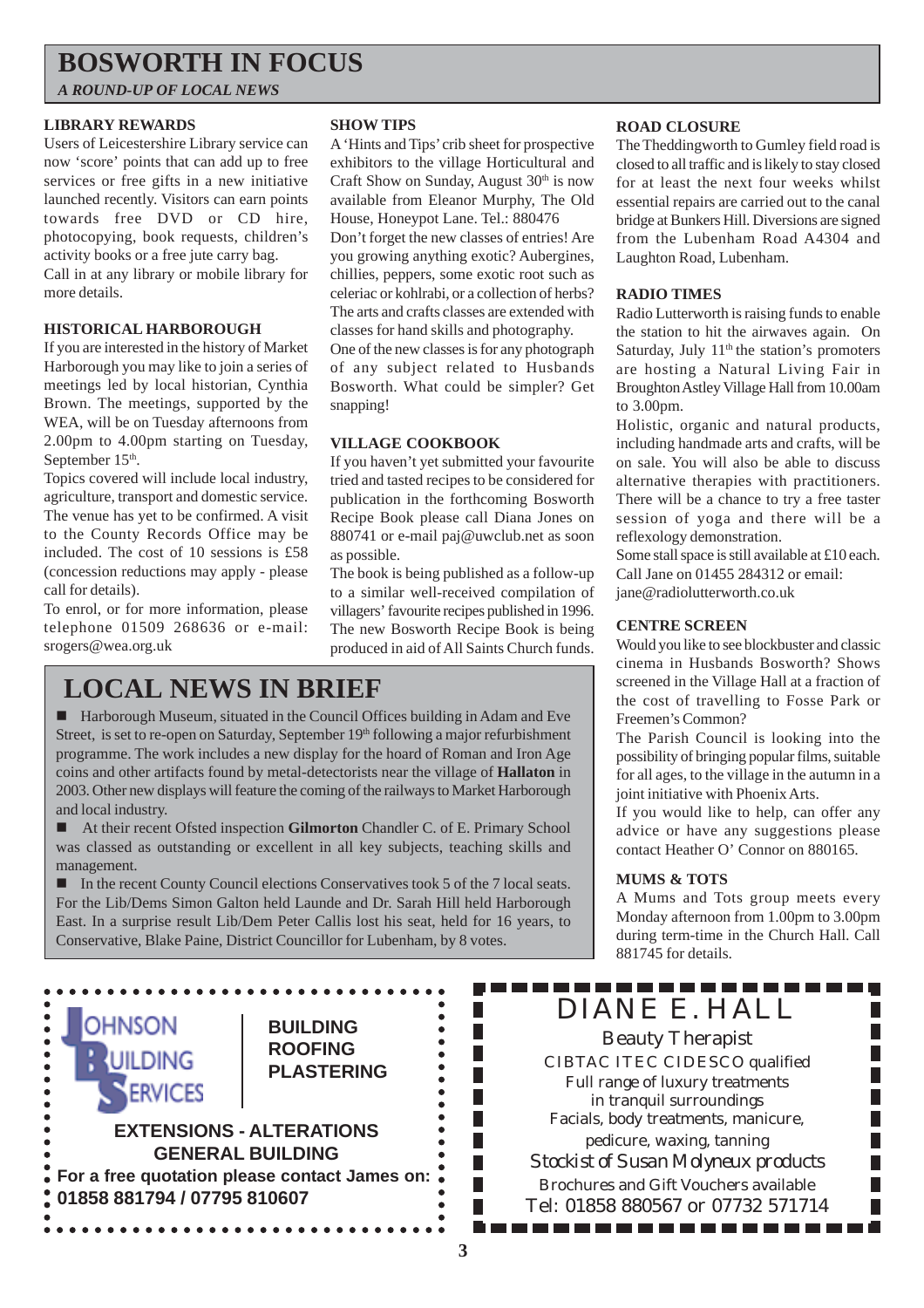### **BOSWORTH IN FOCUS**

*A ROUND-UP OF LOCAL NEWS*

#### **LIBRARY REWARDS**

Users of Leicestershire Library service can now 'score' points that can add up to free services or free gifts in a new initiative launched recently. Visitors can earn points towards free DVD or CD hire, photocopying, book requests, children's activity books or a free jute carry bag. Call in at any library or mobile library for

more details.

#### **HISTORICAL HARBOROUGH**

If you are interested in the history of Market Harborough you may like to join a series of meetings led by local historian, Cynthia Brown. The meetings, supported by the WEA, will be on Tuesday afternoons from 2.00pm to 4.00pm starting on Tuesday, September 15<sup>th</sup>.

Topics covered will include local industry, agriculture, transport and domestic service. The venue has yet to be confirmed. A visit to the County Records Office may be included. The cost of 10 sessions is £58 (concession reductions may apply - please call for details).

To enrol, or for more information, please telephone 01509 268636 or e-mail: srogers@wea.org.uk

#### **SHOW TIPS**

A 'Hints and Tips' crib sheet for prospective exhibitors to the village Horticultural and Craft Show on Sunday, August  $30<sup>th</sup>$  is now available from Eleanor Murphy, The Old House, Honeypot Lane. Tel.: 880476

Don't forget the new classes of entries! Are you growing anything exotic? Aubergines, chillies, peppers, some exotic root such as celeriac or kohlrabi, or a collection of herbs? The arts and crafts classes are extended with classes for hand skills and photography.

One of the new classes is for any photograph of any subject related to Husbands Bosworth. What could be simpler? Get snapping!

#### **VILLAGE COOKBOOK**

If you haven't yet submitted your favourite tried and tasted recipes to be considered for publication in the forthcoming Bosworth Recipe Book please call Diana Jones on 880741 or e-mail paj@uwclub.net as soon as possible.

The book is being published as a follow-up to a similar well-received compilation of villagers' favourite recipes published in 1996. The new Bosworth Recipe Book is being produced in aid of All Saints Church funds.

### **LOCAL NEWS IN BRIEF**

! Harborough Museum, situated in the Council Offices building in Adam and Eve Street, is set to re-open on Saturday, September 19th following a major refurbishment programme. The work includes a new display for the hoard of Roman and Iron Age coins and other artifacts found by metal-detectorists near the village of **Hallaton** in 2003. Other new displays will feature the coming of the railways to Market Harborough and local industry.

! At their recent Ofsted inspection **Gilmorton** Chandler C. of E. Primary School was classed as outstanding or excellent in all key subjects, teaching skills and management.

! In the recent County Council elections Conservatives took 5 of the 7 local seats. For the Lib/Dems Simon Galton held Launde and Dr. Sarah Hill held Harborough East. In a surprise result Lib/Dem Peter Callis lost his seat, held for 16 years, to Conservative, Blake Paine, District Councillor for Lubenham, by 8 votes.

> **BUILDING ROOFING PLASTERING**

**EXTENSIONS - ALTERATIONS GENERAL BUILDING For a free quotation please contact James on:**

**01858 881794 / 07795 810607**

**OHNSON** 

**SERVICES** 

 $\ddot{\bullet}$ 

#### **ROAD CLOSURE**

The Theddingworth to Gumley field road is closed to all traffic and is likely to stay closed for at least the next four weeks whilst essential repairs are carried out to the canal bridge at Bunkers Hill. Diversions are signed from the Lubenham Road A4304 and Laughton Road, Lubenham.

#### **RADIO TIMES**

Radio Lutterworth is raising funds to enable the station to hit the airwaves again. On Saturday, July  $11<sup>th</sup>$  the station's promoters are hosting a Natural Living Fair in Broughton Astley Village Hall from 10.00am to 3.00pm.

Holistic, organic and natural products, including handmade arts and crafts, will be on sale. You will also be able to discuss alternative therapies with practitioners. There will be a chance to try a free taster session of yoga and there will be a reflexology demonstration.

Some stall space is still available at £10 each. Call Jane on 01455 284312 or email: jane@radiolutterworth.co.uk

#### **CENTRE SCREEN**

Would you like to see blockbuster and classic cinema in Husbands Bosworth? Shows screened in the Village Hall at a fraction of the cost of travelling to Fosse Park or Freemen's Common?

The Parish Council is looking into the possibility of bringing popular films, suitable for all ages, to the village in the autumn in a joint initiative with Phoenix Arts.

If you would like to help, can offer any advice or have any suggestions please contact Heather O' Connor on 880165.

#### **MUMS & TOTS**

A Mums and Tots group meets every Monday afternoon from 1.00pm to 3.00pm during term-time in the Church Hall. Call 881745 for details.

#### ------------DIANE E. HALL

Beauty Therapist CIBTAC ITEC CIDESCO qualified Full range of luxury treatments in tranquil surroundings Facials, body treatments, manicure, pedicure, waxing, tanning *Stockist of Susan Molyneux products* Brochures and Gift Vouchers available Tel: 01858 880567 or 07732 571714

. . . . . . . . . . . . . . . .

**3**

П

П

П

П

П

П

 $\bullet$ 

 $\bullet$ 

 $\bullet$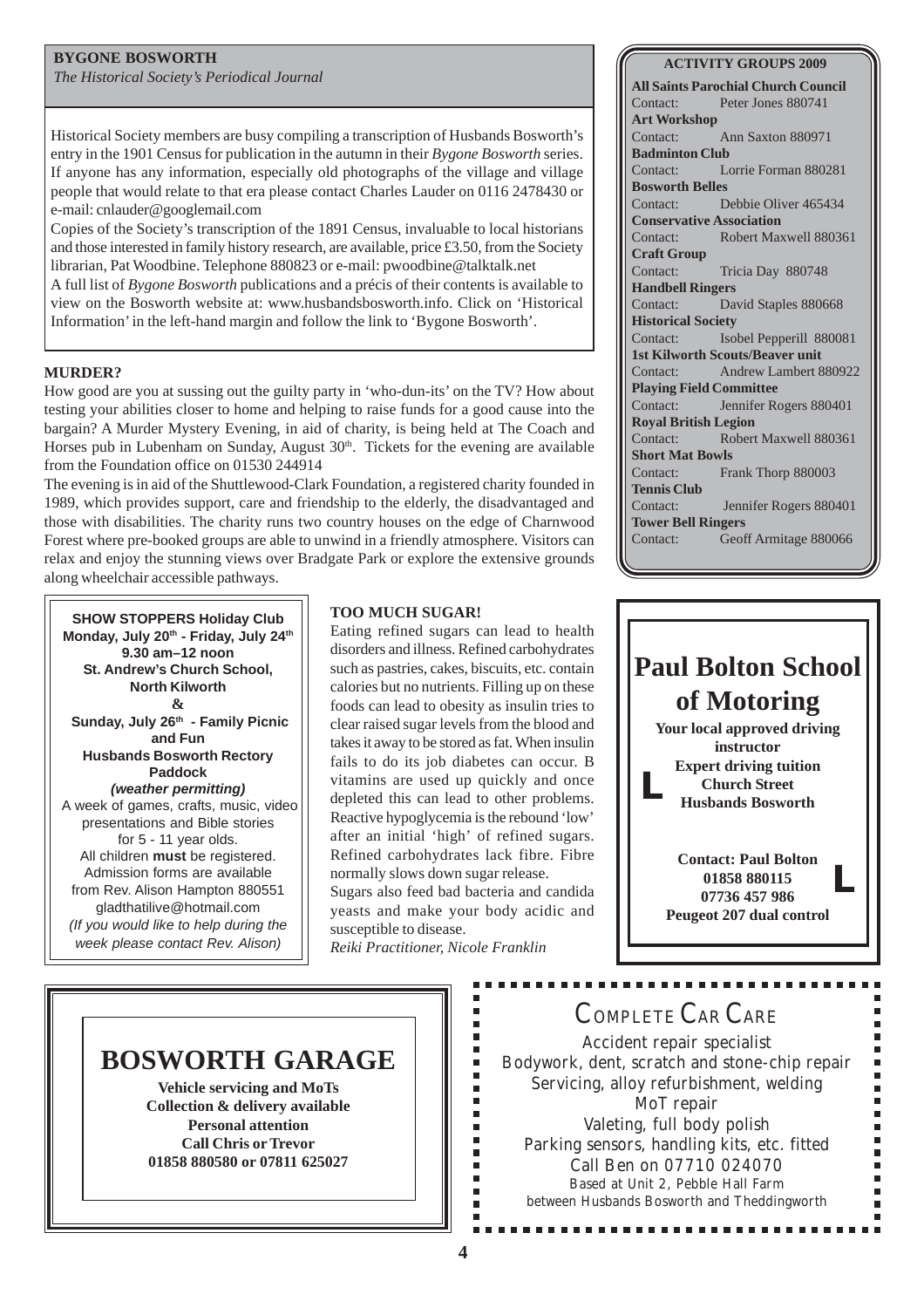#### **BYGONE BOSWORTH**

*The Historical Society's Periodical Journal*

Historical Society members are busy compiling a transcription of Husbands Bosworth's entry in the 1901 Census for publication in the autumn in their *Bygone Bosworth* series. If anyone has any information, especially old photographs of the village and village people that would relate to that era please contact Charles Lauder on 0116 2478430 or e-mail: cnlauder@googlemail.com

Copies of the Society's transcription of the 1891 Census, invaluable to local historians and those interested in family history research, are available, price £3.50, from the Society librarian, Pat Woodbine. Telephone 880823 or e-mail: pwoodbine@talktalk.net A full list of *Bygone Bosworth* publications and a précis of their contents is available to

view on the Bosworth website at: www.husbandsbosworth.info. Click on 'Historical Information' in the left-hand margin and follow the link to 'Bygone Bosworth'.

#### **MURDER?**

How good are you at sussing out the guilty party in 'who-dun-its' on the TV? How about testing your abilities closer to home and helping to raise funds for a good cause into the bargain? A Murder Mystery Evening, in aid of charity, is being held at The Coach and Horses pub in Lubenham on Sunday, August  $30<sup>th</sup>$ . Tickets for the evening are available from the Foundation office on 01530 244914

The evening is in aid of the Shuttlewood-Clark Foundation, a registered charity founded in 1989, which provides support, care and friendship to the elderly, the disadvantaged and those with disabilities. The charity runs two country houses on the edge of Charnwood Forest where pre-booked groups are able to unwind in a friendly atmosphere. Visitors can relax and enjoy the stunning views over Bradgate Park or explore the extensive grounds along wheelchair accessible pathways.

**SHOW STOPPERS Holiday Club** Monday, July 20<sup>th</sup> - Friday, July 24<sup>th</sup> **9.30 am–12 noon St. Andrew's Church School, North Kilworth & Sunday, July 26th - Family Picnic and Fun Husbands Bosworth Rectory Paddock** *(weather permitting)* A week of games, crafts, music, video presentations and Bible stories for 5 - 11 year olds. All children **must** be registered. Admission forms are available from Rev. Alison Hampton 880551 gladthatilive@hotmail.com *(If you would like to help during the week please contact Rev. Alison)*

#### **TOO MUCH SUGAR!**

Eating refined sugars can lead to health disorders and illness. Refined carbohydrates such as pastries, cakes, biscuits, etc. contain calories but no nutrients. Filling up on these foods can lead to obesity as insulin tries to clear raised sugar levels from the blood and takes it away to be stored as fat. When insulin fails to do its job diabetes can occur. B vitamins are used up quickly and once depleted this can lead to other problems. Reactive hypoglycemia is the rebound 'low' after an initial 'high' of refined sugars. Refined carbohydrates lack fibre. Fibre normally slows down sugar release. Sugars also feed bad bacteria and candida yeasts and make your body acidic and susceptible to disease. *Reiki Practitioner, Nicole Franklin*

**Tower Bell Ringers** Contact: Geoff Armitage 880066 **Paul Bolton School of Motoring Your local approved driving instructor Expert driving tuition Church Street L**



### **BOSWORTH GARAGE**

**Vehicle servicing and MoTs Collection & delivery available Personal attention Call Chris or Trevor 01858 880580 or 07811 625027**

### COMPLETE CAR CARE

Accident repair specialist Bodywork, dent, scratch and stone-chip repair Servicing, alloy refurbishment, welding MoT repair Valeting, full body polish Parking sensors, handling kits, etc. fitted Call Ben on 07710 024070 Based at Unit 2, Pebble Hall Farm between Husbands Bosworth and Theddingworth

..............

Ė Ė É É r н r. п F в  $\blacksquare$ Ì.  $\blacksquare$ Ė

#### **ACTIVITY GROUPS 2009 All Saints Parochial Church Council**

Contact: Peter Jones 880741

**Art Workshop** Contact: Ann Saxton 880971 **Badminton Club** Contact: Lorrie Forman 880281 **Bosworth Belles** Contact: Debbie Oliver 465434 **Conservative Association** Contact: Robert Maxwell 880361 **Craft Group** Contact: Tricia Day 880748 **Handbell Ringers** Contact: David Staples 880668 **Historical Society** Contact: Isobel Pepperill 880081 **1st Kilworth Scouts/Beaver unit** Contact: Andrew Lambert 880922 **Playing Field Committee** Contact: Jennifer Rogers 880401 **Royal British Legion** Contact: Robert Maxwell 880361 **Short Mat Bowls** Contact: Frank Thorp 880003 **Tennis Club** Contact: Jennifer Rogers 880401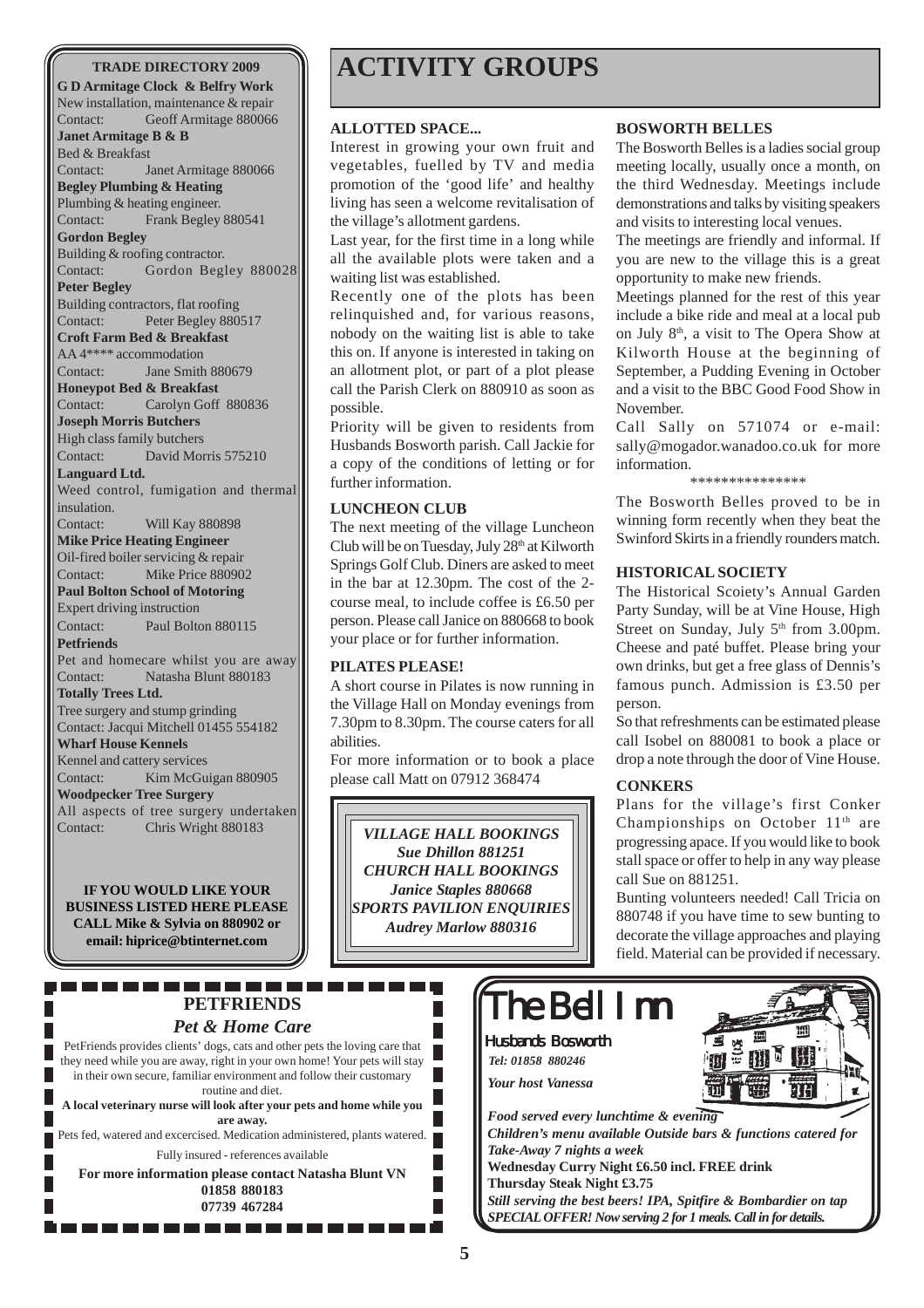**G D Armitage Clock & Belfry Work** New installation, maintenance & repair Contact: Geoff Armitage 880066 **Janet Armitage B & B** Bed & Breakfast Contact: Janet Armitage 880066 **Begley Plumbing & Heating** Plumbing & heating engineer. Contact: Frank Begley 880541 **Gordon Begley** Building & roofing contractor. Contact: Gordon Begley 880028 **Peter Begley** Building contractors, flat roofing Contact: Peter Begley 880517 **Croft Farm Bed & Breakfast** AA 4\*\*\*\* accommodation Contact: Jane Smith 880679 **Honeypot Bed & Breakfast** Contact: Carolyn Goff 880836 **Joseph Morris Butchers** High class family butchers Contact: David Morris 575210 **Languard Ltd.** Weed control, fumigation and thermal insulation. Contact: Will Kay 880898 **Mike Price Heating Engineer** Oil-fired boiler servicing & repair Contact: Mike Price 880902 **Paul Bolton School of Motoring** Expert driving instruction Contact: Paul Bolton 880115 **Petfriends** Pet and homecare whilst you are away Contact: Natasha Blunt 880183 **Totally Trees Ltd.** Tree surgery and stump grinding Contact: Jacqui Mitchell 01455 554182 **Wharf House Kennels** Kennel and cattery services Contact: Kim McGuigan 880905 **Woodpecker Tree Surgery** All aspects of tree surgery undertaken Contact: Chris Wright 880183

**IF YOU WOULD LIKE YOUR BUSINESS LISTED HERE PLEASE CALL Mike & Sylvia on 880902 or email: hiprice@btinternet.com**

-------

### **TRADE DIRECTORY 2009 ACTIVITY GROUPS**

#### **ALLOTTED SPACE...**

Interest in growing your own fruit and vegetables, fuelled by TV and media promotion of the 'good life' and healthy living has seen a welcome revitalisation of the village's allotment gardens.

Last year, for the first time in a long while all the available plots were taken and a waiting list was established.

Recently one of the plots has been relinquished and, for various reasons, nobody on the waiting list is able to take this on. If anyone is interested in taking on an allotment plot, or part of a plot please call the Parish Clerk on 880910 as soon as possible.

Priority will be given to residents from Husbands Bosworth parish. Call Jackie for a copy of the conditions of letting or for further information.

#### **LUNCHEON CLUB**

The next meeting of the village Luncheon Club will be on Tuesday, July 28<sup>th</sup> at Kilworth Springs Golf Club. Diners are asked to meet in the bar at 12.30pm. The cost of the 2 course meal, to include coffee is £6.50 per person. Please call Janice on 880668 to book your place or for further information.

#### **PILATES PLEASE!**

A short course in Pilates is now running in the Village Hall on Monday evenings from 7.30pm to 8.30pm. The course caters for all abilities.

For more information or to book a place please call Matt on 07912 368474

*VILLAGE HALL BOOKINGS Sue Dhillon 881251 CHURCH HALL BOOKINGS Janice Staples 880668 SPORTS PAVILION ENQUIRIES Audrey Marlow 880316*

#### **BOSWORTH BELLES**

The Bosworth Belles is a ladies social group meeting locally, usually once a month, on the third Wednesday. Meetings include demonstrations and talks by visiting speakers and visits to interesting local venues.

The meetings are friendly and informal. If you are new to the village this is a great opportunity to make new friends.

Meetings planned for the rest of this year include a bike ride and meal at a local pub on July 8th, a visit to The Opera Show at Kilworth House at the beginning of September, a Pudding Evening in October and a visit to the BBC Good Food Show in November.

Call Sally on 571074 or e-mail: sally@mogador.wanadoo.co.uk for more information.

#### \*\*\*\*\*\*\*\*\*\*\*\*\*\*\*

The Bosworth Belles proved to be in winning form recently when they beat the Swinford Skirts in a friendly rounders match.

#### **HISTORICAL SOCIETY**

The Historical Scoiety's Annual Garden Party Sunday, will be at Vine House, High Street on Sunday, July  $5<sup>th</sup>$  from 3.00pm. Cheese and paté buffet. Please bring your own drinks, but get a free glass of Dennis's famous punch. Admission is £3.50 per person.

So that refreshments can be estimated please call Isobel on 880081 to book a place or drop a note through the door of Vine House.

#### **CONKERS**

Plans for the village's first Conker Championships on October 11<sup>th</sup> are progressing apace. If you would like to book stall space or offer to help in any way please call Sue on 881251.

Bunting volunteers needed! Call Tricia on 880748 if you have time to sew bunting to decorate the village approaches and playing field. Material can be provided if necessary.

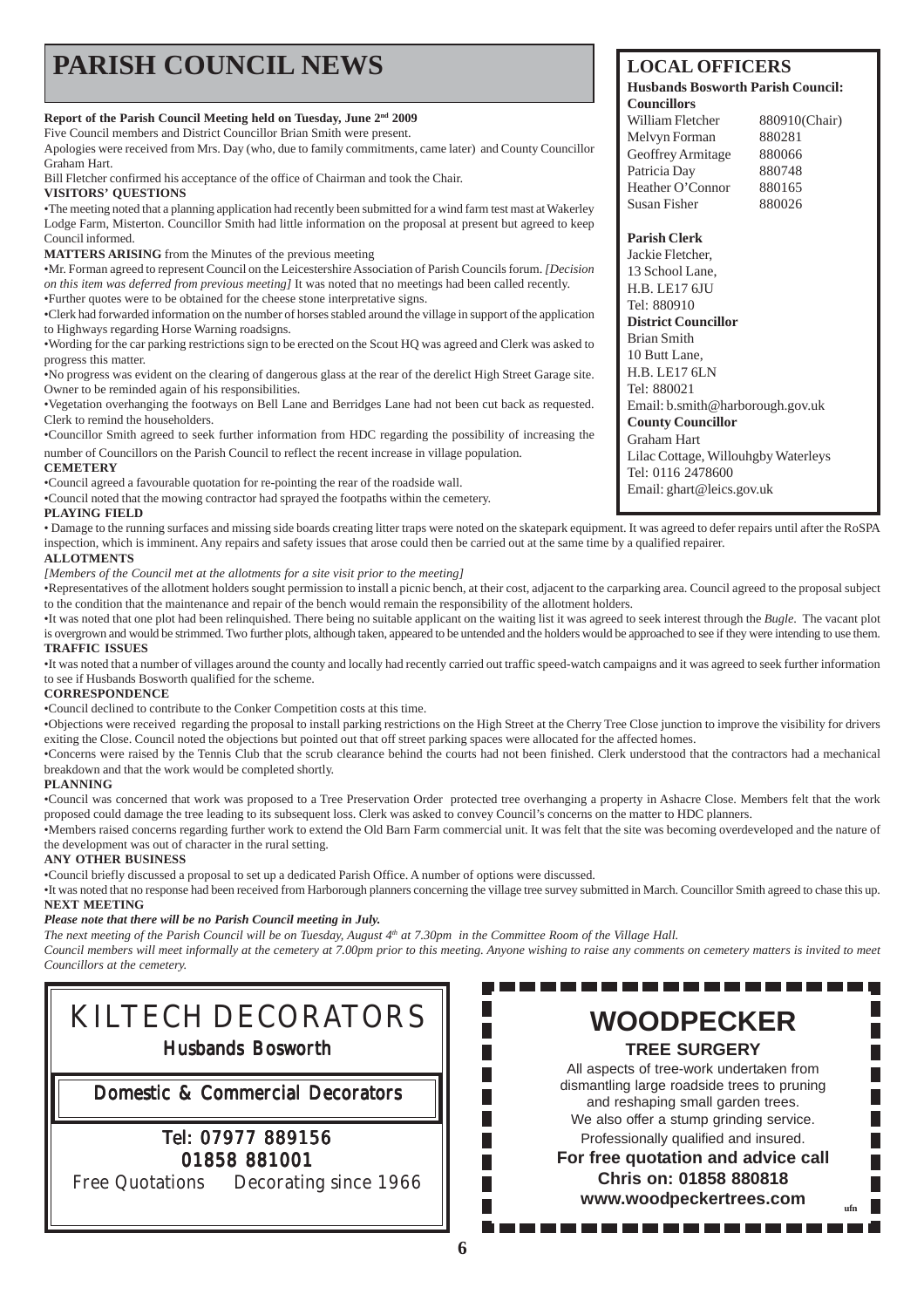## **PARISH COUNCIL NEWS** LOCAL OFFICERS

#### **Report of the Parish Council Meeting held on Tuesday, June 2nd 2009**

Five Council members and District Councillor Brian Smith were present.

Apologies were received from Mrs. Day (who, due to family commitments, came later) and County Councillor Graham Hart.

Bill Fletcher confirmed his acceptance of the office of Chairman and took the Chair. **VISITORS' QUESTIONS**

•The meeting noted that a planning application had recently been submitted for a wind farm test mast at Wakerley Lodge Farm, Misterton. Councillor Smith had little information on the proposal at present but agreed to keep Council informed.

**MATTERS ARISING** from the Minutes of the previous meeting

•Mr. Forman agreed to represent Council on the Leicestershire Association of Parish Councils forum. *[Decision on this item was deferred from previous meeting]* It was noted that no meetings had been called recently. •Further quotes were to be obtained for the cheese stone interpretative signs.

•Clerk had forwarded information on the number of horses stabled around the village in support of the application to Highways regarding Horse Warning roadsigns.

•Wording for the car parking restrictions sign to be erected on the Scout HQ was agreed and Clerk was asked to progress this matter.

•No progress was evident on the clearing of dangerous glass at the rear of the derelict High Street Garage site. Owner to be reminded again of his responsibilities.

•Vegetation overhanging the footways on Bell Lane and Berridges Lane had not been cut back as requested. Clerk to remind the householders.

•Councillor Smith agreed to seek further information from HDC regarding the possibility of increasing the number of Councillors on the Parish Council to reflect the recent increase in village population.

#### **CEMETERY**

•Council agreed a favourable quotation for re-pointing the rear of the roadside wall.

•Council noted that the mowing contractor had sprayed the footpaths within the cemetery.

#### **PLAYING FIELD**

• Damage to the running surfaces and missing side boards creating litter traps were noted on the skatepark equipment. It was agreed to defer repairs until after the RoSPA inspection, which is imminent. Any repairs and safety issues that arose could then be carried out at the same time by a qualified repairer.

#### **ALLOTMENTS**

*[Members of the Council met at the allotments for a site visit prior to the meeting]*

•Representatives of the allotment holders sought permission to install a picnic bench, at their cost, adjacent to the carparking area. Council agreed to the proposal subject to the condition that the maintenance and repair of the bench would remain the responsibility of the allotment holders.

•It was noted that one plot had been relinquished. There being no suitable applicant on the waiting list it was agreed to seek interest through the *Bugle*. The vacant plot is overgrown and would be strimmed. Two further plots, although taken, appeared to be untended and the holders would be approached to see if they were intending to use them. **TRAFFIC ISSUES**

•It was noted that a number of villages around the county and locally had recently carried out traffic speed-watch campaigns and it was agreed to seek further information to see if Husbands Bosworth qualified for the scheme.

#### **CORRESPONDENCE**

•Council declined to contribute to the Conker Competition costs at this time.

•Objections were received regarding the proposal to install parking restrictions on the High Street at the Cherry Tree Close junction to improve the visibility for drivers exiting the Close. Council noted the objections but pointed out that off street parking spaces were allocated for the affected homes.

•Concerns were raised by the Tennis Club that the scrub clearance behind the courts had not been finished. Clerk understood that the contractors had a mechanical breakdown and that the work would be completed shortly.

#### **PLANNING**

•Council was concerned that work was proposed to a Tree Preservation Order protected tree overhanging a property in Ashacre Close. Members felt that the work proposed could damage the tree leading to its subsequent loss. Clerk was asked to convey Council's concerns on the matter to HDC planners.

•Members raised concerns regarding further work to extend the Old Barn Farm commercial unit. It was felt that the site was becoming overdeveloped and the nature of the development was out of character in the rural setting.

#### **ANY OTHER BUSINESS**

•Council briefly discussed a proposal to set up a dedicated Parish Office. A number of options were discussed.

•It was noted that no response had been received from Harborough planners concerning the village tree survey submitted in March. Councillor Smith agreed to chase this up. **NEXT MEETING**

#### *Please note that there will be no Parish Council meeting in July.*

*The next meeting of the Parish Council will be on Tuesday, August 4th at 7.30pm in the Committee Room of the Village Hall.*

*Council members will meet informally at the cemetery at 7.00pm prior to this meeting. Anyone wishing to raise any comments on cemetery matters is invited to meet Councillors at the cemetery.*

> $\Box$  $\overline{\phantom{a}}$

> $\mathbb{R}^n$ Г П  $\Box$ г

## KILTECH DECORATORS Husbands Bosworth Domestic & Commercial Decorators Tel: 07977 889156 01858 881001 Free Quotations Decorating since 1966

#### **Husbands Bosworth Parish Council: Councillors**

| William Fletcher  | 880910(Chair) |
|-------------------|---------------|
| Melvyn Forman     | 880281        |
| Geoffrey Armitage | 880066        |
| Patricia Day      | 880748        |
| Heather O'Connor  | 880165        |
| Susan Fisher      | 880026        |

#### **Parish Clerk**

Jackie Fletcher, 13 School Lane, H.B. LE17 6JU Tel: 880910 **District Councillor** Brian Smith 10 Butt Lane, H.B. LE17 6LN Tel: 880021 Email: b.smith@harborough.gov.uk **County Councillor** Graham Hart Lilac Cottage, Willouhgby Waterleys Tel: 0116 2478600 Email: ghart@leics.gov.uk

**WOODPECKER TREE SURGERY** All aspects of tree-work undertaken from dismantling large roadside trees to pruning and reshaping small garden trees. We also offer a stump grinding service. Professionally qualified and insured. **For free quotation and advice call Chris on: 01858 880818 www.woodpeckertrees.com ufn**

. . . . . . . .

---------------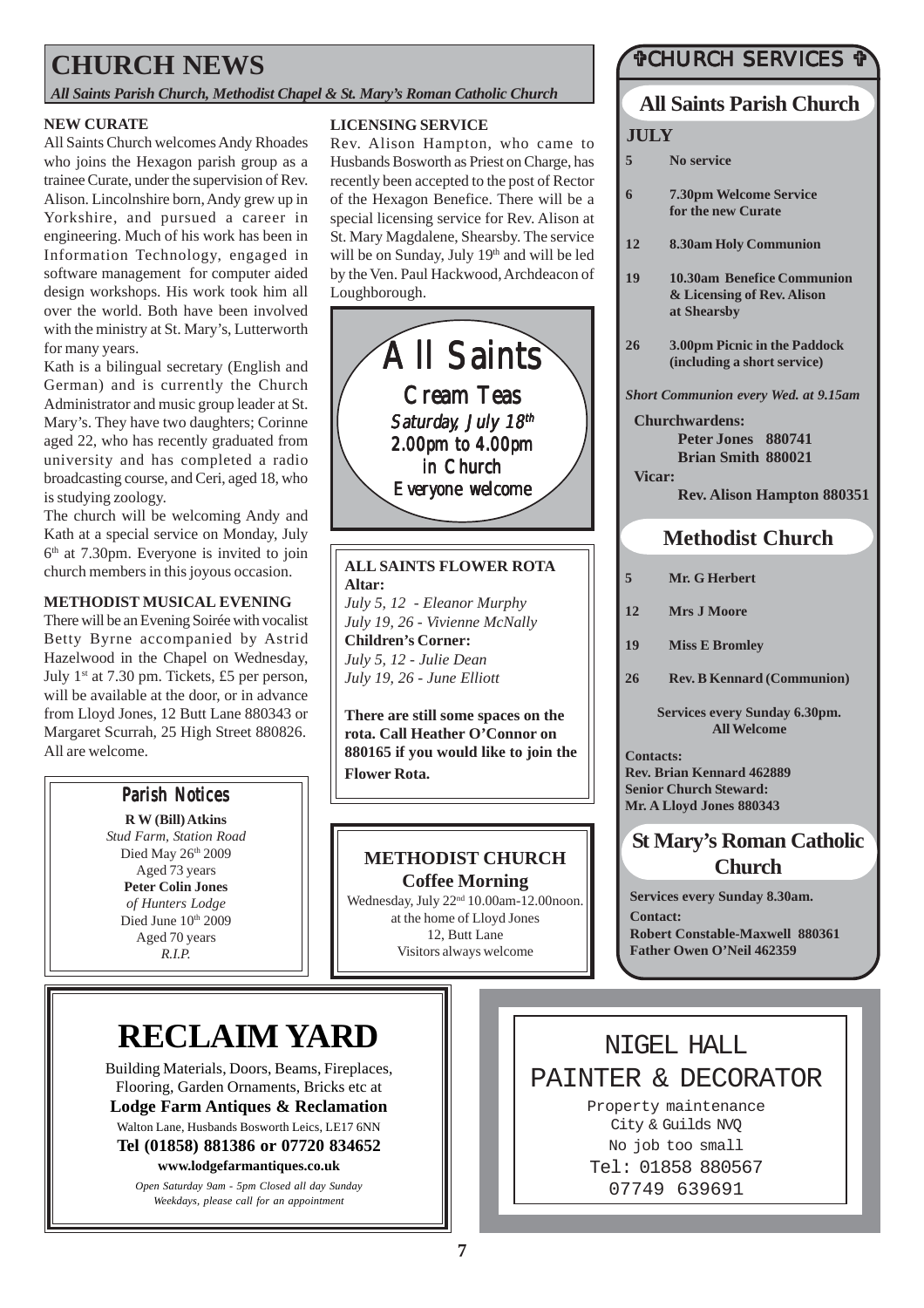### **CHURCH NEWS**

*All Saints Parish Church, Methodist Chapel & St. Mary's Roman Catholic Church*

#### **NEW CURATE**

All Saints Church welcomes Andy Rhoades who joins the Hexagon parish group as a trainee Curate, under the supervision of Rev. Alison. Lincolnshire born, Andy grew up in Yorkshire, and pursued a career in engineering. Much of his work has been in Information Technology, engaged in software management for computer aided design workshops. His work took him all over the world. Both have been involved with the ministry at St. Mary's, Lutterworth for many years.

Kath is a bilingual secretary (English and German) and is currently the Church Administrator and music group leader at St. Mary's. They have two daughters; Corinne aged 22, who has recently graduated from university and has completed a radio broadcasting course, and Ceri, aged 18, who is studying zoology.

The church will be welcoming Andy and Kath at a special service on Monday, July  $6<sup>th</sup>$  at 7.30pm. Everyone is invited to join church members in this joyous occasion.

#### **METHODIST MUSICAL EVENING**

There will be an Evening Soirée with vocalist Betty Byrne accompanied by Astrid Hazelwood in the Chapel on Wednesday, July  $1^{st}$  at 7.30 pm. Tickets, £5 per person, will be available at the door, or in advance from Lloyd Jones, 12 Butt Lane 880343 or Margaret Scurrah, 25 High Street 880826. All are welcome.

#### **Parish Notices**

**R W (Bill) Atkins** *Stud Farm, Station Road* Died May 26th 2009 Aged 73 years **Peter Colin Jones** *of Hunters Lodge* Died June 10th 2009 Aged 70 years *R.I.P.*

#### **LICENSING SERVICE**

Rev. Alison Hampton, who came to Husbands Bosworth as Priest on Charge, has recently been accepted to the post of Rector of the Hexagon Benefice. There will be a special licensing service for Rev. Alison at St. Mary Magdalene, Shearsby. The service will be on Sunday, July 19th and will be led by the Ven. Paul Hackwood, Archdeacon of Loughborough.



**ALL SAINTS FLOWER ROTA Altar:** *July 5, 12 - Eleanor Murphy July 19, 26 - Vivienne McNally* **Children's Corner:** *July 5, 12 - Julie Dean July 19, 26 - June Elliott*

**There are still some spaces on the rota. Call Heather O'Connor on 880165 if you would like to join the Flower Rota.**

#### **METHODIST CHURCH Coffee Morning**

Wednesday, July 22<sup>nd</sup> 10.00am-12.00noon. at the home of Lloyd Jones 12, Butt Lane Visitors always welcome

#### #CHURCH SERVICES #

#### **All Saints Parish Church**

#### **JULY**

- **5 No service**
- **6 7.30pm Welcome Service for the new Curate**
- **12 8.30am Holy Communion**
- **19 10.30am Benefice Communion & Licensing of Rev. Alison at Shearsby**
- **26 3.00pm Picnic in the Paddock (including a short service)**

*Short Communion every Wed. at 9.15am*

**Churchwardens:**

**Peter Jones 880741 Brian Smith 880021**

**Vicar: Rev. Alison Hampton 880351**

#### **Methodist Church**

- **5 Mr. G Herbert**
- **12 Mrs J Moore**
- **19 Miss E Bromley**
- **26 Rev. B Kennard (Communion)**

**Services every Sunday 6.30pm. All Welcome**

**Contacts: Rev. Brian Kennard 462889 Senior Church Steward: Mr. A Lloyd Jones 880343**

### **St Mary's Roman Catholic Church**

**Services every Sunday 8.30am. Contact: Robert Constable-Maxwell 880361 Father Owen O'Neil 462359**

# **RECLAIM YARD**

Building Materials, Doors, Beams, Fireplaces, Flooring, Garden Ornaments, Bricks etc at **Lodge Farm Antiques & Reclamation** Walton Lane, Husbands Bosworth Leics, LE17 6NN **Tel (01858) 881386 or 07720 834652**

**www.lodgefarmantiques.co.uk**

*Open Saturday 9am - 5pm Closed all day Sunday Weekdays, please call for an appointment*

NIGEL HALL PAINTER & DECORATOR

Property maintenance City & Guilds NVQ No job too small Tel: 01858 880567 07749 639691